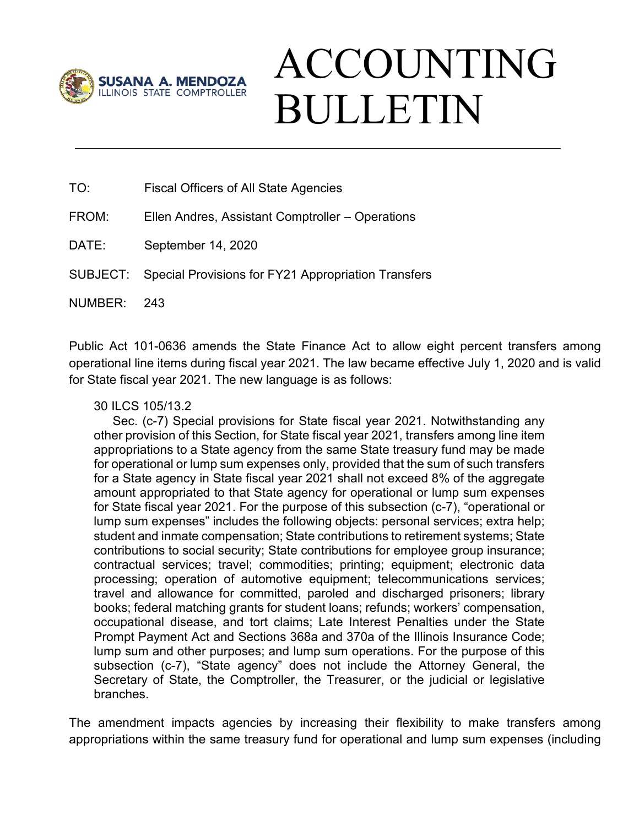

## ACCOUNTING BULLETIN

TO: Fiscal Officers of All State Agencies

FROM: Ellen Andres, Assistant Comptroller – Operations

DATE: September 14, 2020

SUBJECT: Special Provisions for FY21 Appropriation Transfers

NUMBER: 243

Public Act 101-0636 amends the State Finance Act to allow eight percent transfers among operational line items during fiscal year 2021. The law became effective July 1, 2020 and is valid for State fiscal year 2021. The new language is as follows:

## 30 ILCS 105/13.2

Sec. (c-7) Special provisions for State fiscal year 2021. Notwithstanding any other provision of this Section, for State fiscal year 2021, transfers among line item appropriations to a State agency from the same State treasury fund may be made for operational or lump sum expenses only, provided that the sum of such transfers for a State agency in State fiscal year 2021 shall not exceed 8% of the aggregate amount appropriated to that State agency for operational or lump sum expenses for State fiscal year 2021. For the purpose of this subsection (c-7), "operational or lump sum expenses" includes the following objects: personal services; extra help; student and inmate compensation; State contributions to retirement systems; State contributions to social security; State contributions for employee group insurance; contractual services; travel; commodities; printing; equipment; electronic data processing; operation of automotive equipment; telecommunications services; travel and allowance for committed, paroled and discharged prisoners; library books; federal matching grants for student loans; refunds; workers' compensation, occupational disease, and tort claims; Late Interest Penalties under the State Prompt Payment Act and Sections 368a and 370a of the Illinois Insurance Code; lump sum and other purposes; and lump sum operations. For the purpose of this subsection (c-7), "State agency" does not include the Attorney General, the Secretary of State, the Comptroller, the Treasurer, or the judicial or legislative branches.

The amendment impacts agencies by increasing their flexibility to make transfers among appropriations within the same treasury fund for operational and lump sum expenses (including